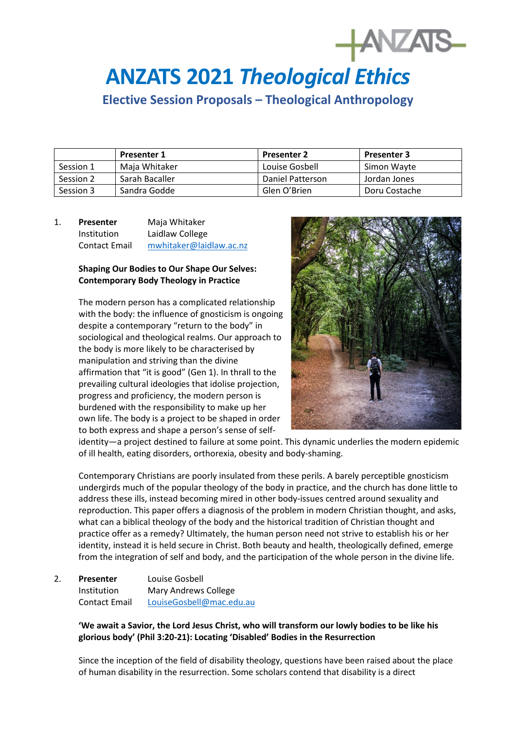# **ANZATS 2021** *Theological Ethics*

**Elective Session Proposals – Theological Anthropology**

|           | <b>Presenter 1</b> | <b>Presenter 2</b> | <b>Presenter 3</b> |
|-----------|--------------------|--------------------|--------------------|
| Session 1 | Maia Whitaker      | Louise Gosbell     | Simon Wavte        |
| Session 2 | Sarah Bacaller     | Daniel Patterson   | Jordan Jones       |
| Session 3 | Sandra Godde       | Glen O'Brien       | Doru Costache      |

# 1. **Presenter** Maja Whitaker Institution Laidlaw College Contact Email [mwhitaker@laidlaw.ac.nz](mailto:mwhitaker@laidlaw.ac.nz)

## **Shaping Our Bodies to Our Shape Our Selves: Contemporary Body Theology in Practice**

The modern person has a complicated relationship with the body: the influence of gnosticism is ongoing despite a contemporary "return to the body" in sociological and theological realms. Our approach to the body is more likely to be characterised by manipulation and striving than the divine affirmation that "it is good" (Gen 1). In thrall to the prevailing cultural ideologies that idolise projection, progress and proficiency, the modern person is burdened with the responsibility to make up her own life. The body is a project to be shaped in order to both express and shape a person's sense of self-



**HANZATS** 

identity—a project destined to failure at some point. This dynamic underlies the modern epidemic of ill health, eating disorders, orthorexia, obesity and body-shaming.

Contemporary Christians are poorly insulated from these perils. A barely perceptible gnosticism undergirds much of the popular theology of the body in practice, and the church has done little to address these ills, instead becoming mired in other body-issues centred around sexuality and reproduction. This paper offers a diagnosis of the problem in modern Christian thought, and asks, what can a biblical theology of the body and the historical tradition of Christian thought and practice offer as a remedy? Ultimately, the human person need not strive to establish his or her identity, instead it is held secure in Christ. Both beauty and health, theologically defined, emerge from the integration of self and body, and the participation of the whole person in the divine life.

2. **Presenter** Louise Gosbell Institution Mary Andrews College Contact Email [LouiseGosbell@mac.edu.au](mailto:LouiseGosbell@mac.edu.au)

## **'We await a Savior, the Lord Jesus Christ, who will transform our lowly bodies to be like his glorious body' (Phil 3:20-21): Locating 'Disabled' Bodies in the Resurrection**

Since the inception of the field of disability theology, questions have been raised about the place of human disability in the resurrection. Some scholars contend that disability is a direct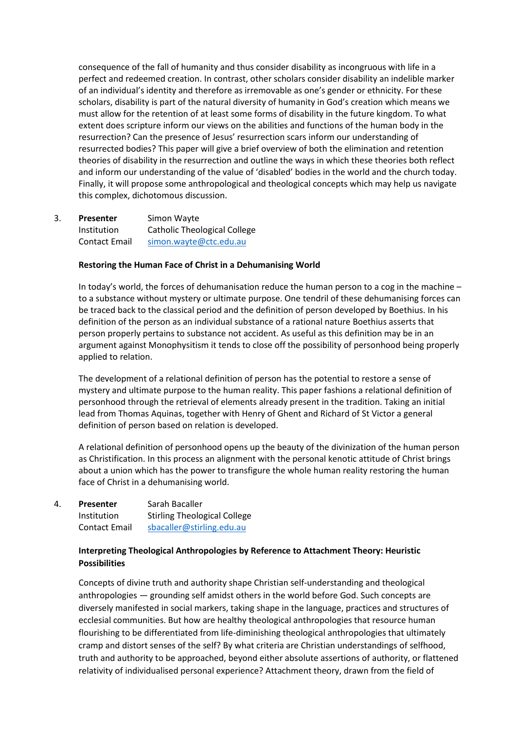consequence of the fall of humanity and thus consider disability as incongruous with life in a perfect and redeemed creation. In contrast, other scholars consider disability an indelible marker of an individual's identity and therefore as irremovable as one's gender or ethnicity. For these scholars, disability is part of the natural diversity of humanity in God's creation which means we must allow for the retention of at least some forms of disability in the future kingdom. To what extent does scripture inform our views on the abilities and functions of the human body in the resurrection? Can the presence of Jesus' resurrection scars inform our understanding of resurrected bodies? This paper will give a brief overview of both the elimination and retention theories of disability in the resurrection and outline the ways in which these theories both reflect and inform our understanding of the value of 'disabled' bodies in the world and the church today. Finally, it will propose some anthropological and theological concepts which may help us navigate this complex, dichotomous discussion.

3. **Presenter** Simon Wayte Institution Catholic Theological College Contact Email [simon.wayte@ctc.edu.au](mailto:simon.wayte@ctc.edu.au)

## **Restoring the Human Face of Christ in a Dehumanising World**

In today's world, the forces of dehumanisation reduce the human person to a cog in the machine – to a substance without mystery or ultimate purpose. One tendril of these dehumanising forces can be traced back to the classical period and the definition of person developed by Boethius. In his definition of the person as an individual substance of a rational nature Boethius asserts that person properly pertains to substance not accident. As useful as this definition may be in an argument against Monophysitism it tends to close off the possibility of personhood being properly applied to relation.

The development of a relational definition of person has the potential to restore a sense of mystery and ultimate purpose to the human reality. This paper fashions a relational definition of personhood through the retrieval of elements already present in the tradition. Taking an initial lead from Thomas Aquinas, together with Henry of Ghent and Richard of St Victor a general definition of person based on relation is developed.

A relational definition of personhood opens up the beauty of the divinization of the human person as Christification. In this process an alignment with the personal kenotic attitude of Christ brings about a union which has the power to transfigure the whole human reality restoring the human face of Christ in a dehumanising world.

| 4. | Presenter            | Sarah Bacaller                      |  |
|----|----------------------|-------------------------------------|--|
|    | <b>Institution</b>   | <b>Stirling Theological College</b> |  |
|    | <b>Contact Email</b> | sbacaller@stirling.edu.au           |  |

## **Interpreting Theological Anthropologies by Reference to Attachment Theory: Heuristic Possibilities**

Concepts of divine truth and authority shape Christian self-understanding and theological anthropologies — grounding self amidst others in the world before God. Such concepts are diversely manifested in social markers, taking shape in the language, practices and structures of ecclesial communities. But how are healthy theological anthropologies that resource human flourishing to be differentiated from life-diminishing theological anthropologies that ultimately cramp and distort senses of the self? By what criteria are Christian understandings of selfhood, truth and authority to be approached, beyond either absolute assertions of authority, or flattened relativity of individualised personal experience? Attachment theory, drawn from the field of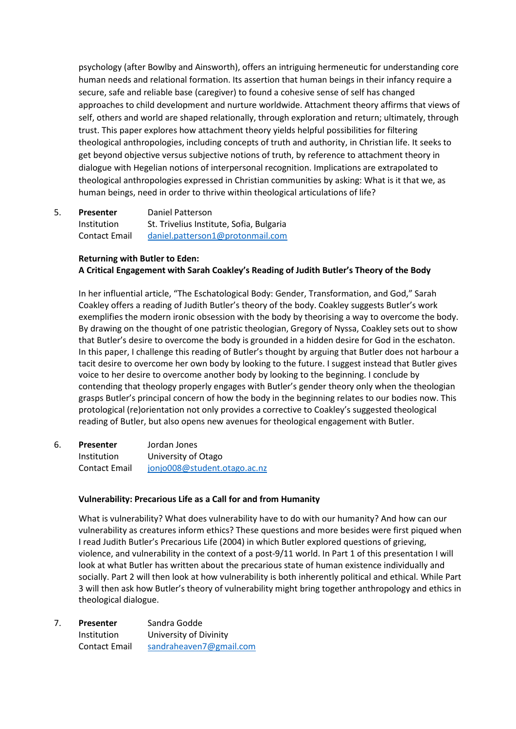psychology (after Bowlby and Ainsworth), offers an intriguing hermeneutic for understanding core human needs and relational formation. Its assertion that human beings in their infancy require a secure, safe and reliable base (caregiver) to found a cohesive sense of self has changed approaches to child development and nurture worldwide. Attachment theory affirms that views of self, others and world are shaped relationally, through exploration and return; ultimately, through trust. This paper explores how attachment theory yields helpful possibilities for filtering theological anthropologies, including concepts of truth and authority, in Christian life. It seeks to get beyond objective versus subjective notions of truth, by reference to attachment theory in dialogue with Hegelian notions of interpersonal recognition. Implications are extrapolated to theological anthropologies expressed in Christian communities by asking: What is it that we, as human beings, need in order to thrive within theological articulations of life?

5. **Presenter** Daniel Patterson Institution St. Trivelius Institute, Sofia, Bulgaria Contact Email daniel.patterson1@protonmail.com

## **Returning with Butler to Eden: A Critical Engagement with Sarah Coakley's Reading of Judith Butler's Theory of the Body**

In her influential article, "The Eschatological Body: Gender, Transformation, and God," Sarah Coakley offers a reading of Judith Butler's theory of the body. Coakley suggests Butler's work exemplifies the modern ironic obsession with the body by theorising a way to overcome the body. By drawing on the thought of one patristic theologian, Gregory of Nyssa, Coakley sets out to show that Butler's desire to overcome the body is grounded in a hidden desire for God in the eschaton. In this paper, I challenge this reading of Butler's thought by arguing that Butler does not harbour a tacit desire to overcome her own body by looking to the future. I suggest instead that Butler gives voice to her desire to overcome another body by looking to the beginning. I conclude by contending that theology properly engages with Butler's gender theory only when the theologian grasps Butler's principal concern of how the body in the beginning relates to our bodies now. This protological (re)orientation not only provides a corrective to Coakley's suggested theological reading of Butler, but also opens new avenues for theological engagement with Butler.

6. **Presenter** Jordan Jones Institution University of Otago Contact Email [jonjo008@student.otago.ac.nz](mailto:jonjo008@student.otago.ac.nz) 

## **Vulnerability: Precarious Life as a Call for and from Humanity**

What is vulnerability? What does vulnerability have to do with our humanity? And how can our vulnerability as creatures inform ethics? These questions and more besides were first piqued when I read Judith Butler's Precarious Life (2004) in which Butler explored questions of grieving, violence, and vulnerability in the context of a post-9/11 world. In Part 1 of this presentation I will look at what Butler has written about the precarious state of human existence individually and socially. Part 2 will then look at how vulnerability is both inherently political and ethical. While Part 3 will then ask how Butler's theory of vulnerability might bring together anthropology and ethics in theological dialogue.

7. **Presenter** Sandra Godde Institution University of Divinity Contact Email [sandraheaven7@gmail.com](mailto:sandraheaven7@gmail.com)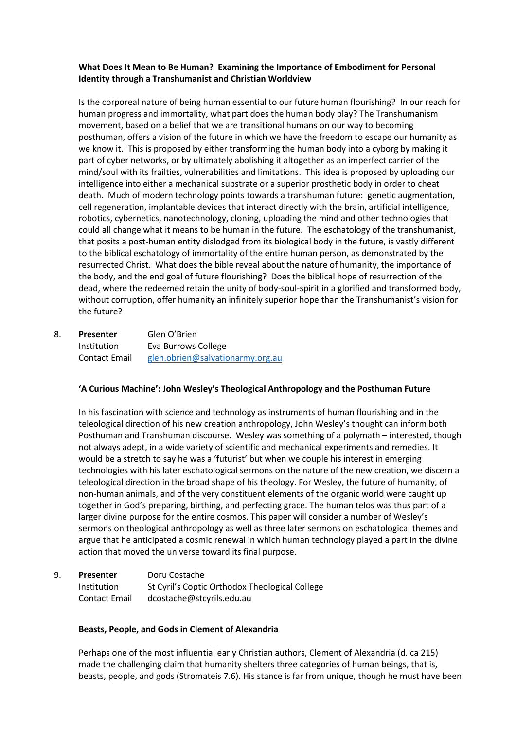## **What Does It Mean to Be Human? Examining the Importance of Embodiment for Personal Identity through a Transhumanist and Christian Worldview**

Is the corporeal nature of being human essential to our future human flourishing? In our reach for human progress and immortality, what part does the human body play? The Transhumanism movement, based on a belief that we are transitional humans on our way to becoming posthuman, offers a vision of the future in which we have the freedom to escape our humanity as we know it. This is proposed by either transforming the human body into a cyborg by making it part of cyber networks, or by ultimately abolishing it altogether as an imperfect carrier of the mind/soul with its frailties, vulnerabilities and limitations. This idea is proposed by uploading our intelligence into either a mechanical substrate or a superior prosthetic body in order to cheat death. Much of modern technology points towards a transhuman future: genetic augmentation, cell regeneration, implantable devices that interact directly with the brain, artificial intelligence, robotics, cybernetics, nanotechnology, cloning, uploading the mind and other technologies that could all change what it means to be human in the future. The eschatology of the transhumanist, that posits a post-human entity dislodged from its biological body in the future, is vastly different to the biblical eschatology of immortality of the entire human person, as demonstrated by the resurrected Christ. What does the bible reveal about the nature of humanity, the importance of the body, and the end goal of future flourishing? Does the biblical hope of resurrection of the dead, where the redeemed retain the unity of body-soul-spirit in a glorified and transformed body, without corruption, offer humanity an infinitely superior hope than the Transhumanist's vision for the future?

8. **Presenter** Glen O'Brien Institution Eva Burrows College Contact Email [glen.obrien@salvationarmy.org.au](mailto:glen.obrien@salvationarmy.org.au) 

## **'A Curious Machine': John Wesley's Theological Anthropology and the Posthuman Future**

In his fascination with science and technology as instruments of human flourishing and in the teleological direction of his new creation anthropology, John Wesley's thought can inform both Posthuman and Transhuman discourse. Wesley was something of a polymath – interested, though not always adept, in a wide variety of scientific and mechanical experiments and remedies. It would be a stretch to say he was a 'futurist' but when we couple his interest in emerging technologies with his later eschatological sermons on the nature of the new creation, we discern a teleological direction in the broad shape of his theology. For Wesley, the future of humanity, of non-human animals, and of the very constituent elements of the organic world were caught up together in God's preparing, birthing, and perfecting grace. The human telos was thus part of a larger divine purpose for the entire cosmos. This paper will consider a number of Wesley's sermons on theological anthropology as well as three later sermons on eschatological themes and argue that he anticipated a cosmic renewal in which human technology played a part in the divine action that moved the universe toward its final purpose.

9. **Presenter** Doru Costache Institution St Cyril's Coptic Orthodox Theological College Contact Email dcostache@stcyrils.edu.au

## **Beasts, People, and Gods in Clement of Alexandria**

Perhaps one of the most influential early Christian authors, Clement of Alexandria (d. ca 215) made the challenging claim that humanity shelters three categories of human beings, that is, beasts, people, and gods (Stromateis 7.6). His stance is far from unique, though he must have been